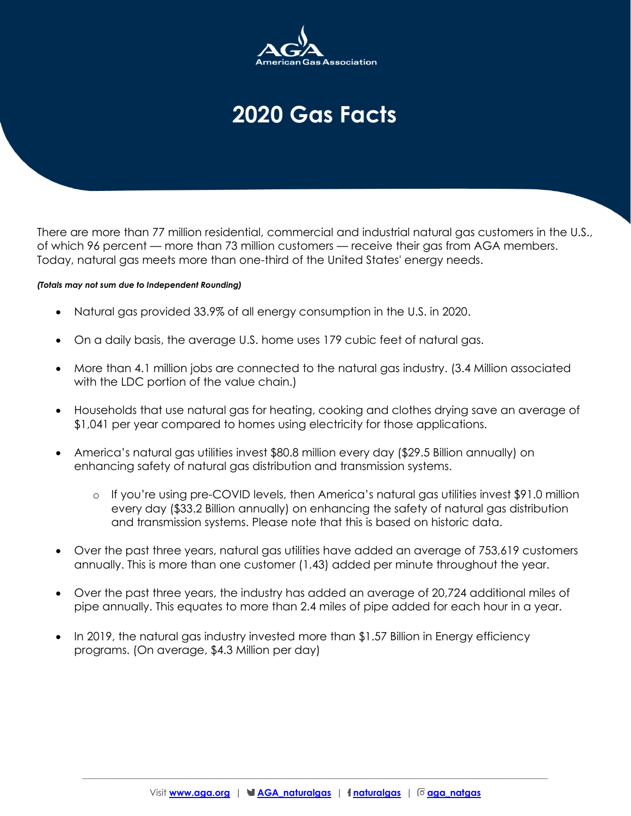

## **2020 Gas Facts**

There are more than 77 million residential, commercial and industrial natural gas customers in the U.S., of which 96 percent — more than 73 million customers — receive their gas from AGA members. Today, natural gas meets more than one-third of the United States' energy needs.

## *(Totals may not sum due to Independent Rounding)*

- Natural gas provided 33.9% of all energy consumption in the U.S. in 2020.
- On a daily basis, the average U.S. home uses 179 cubic feet of natural gas.
- More than 4.1 million jobs are connected to the natural gas industry. (3.4 Million associated with the LDC portion of the value chain.)
- Households that use natural gas for heating, cooking and clothes drying save an average of \$1,041 per year compared to homes using electricity for those applications.
- America's natural gas utilities invest \$80.8 million every day (\$29.5 Billion annually) on enhancing safety of natural gas distribution and transmission systems.
	- o If you're using pre-COVID levels, then America's natural gas utilities invest \$91.0 million every day (\$33.2 Billion annually) on enhancing the safety of natural gas distribution and transmission systems. Please note that this is based on historic data.
- Over the past three years, natural gas utilities have added an average of 753,619 customers annually. This is more than one customer (1.43) added per minute throughout the year.
- Over the past three years, the industry has added an average of 20,724 additional miles of pipe annually. This equates to more than 2.4 miles of pipe added for each hour in a year.
- In 2019, the natural gas industry invested more than \$1.57 Billion in Energy efficiency programs. (On average, \$4.3 Million per day)